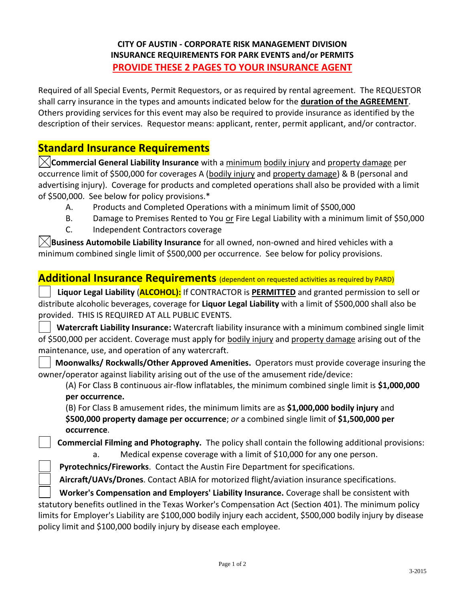## **CITY OF AUSTIN - CORPORATE RISK MANAGEMENT DIVISION INSURANCE REQUIREMENTS FOR PARK EVENTS and/or PERMITS PROVIDE THESE 2 PAGES TO YOUR INSURANCE AGENT**

Required of all Special Events, Permit Requestors, or as required by rental agreement.The REQUESTOR shall carry insurance in the types and amounts indicated below for the **duration of the AGREEMENT**. Others providing services for this event may also be required to provide insurance as identified by the description of their services. Requestor means: applicant, renter, permit applicant, and/or contractor.

## **Standard Insurance Requirements**

**Commercial General Liability Insurance** with a minimum bodily injury and property damage per occurrence limit of \$500,000 for coverages A (bodily injury and property damage) & B (personal and advertising injury). Coverage for products and completed operations shall also be provided with a limit of \$500,000. See below for policy provisions.\*

- A. Products and Completed Operations with a minimum limit of \$500,000
- B. Damage to Premises Rented to You or Fire Legal Liability with a minimum limit of \$50,000
- C. Independent Contractors coverage

**Business Automobile Liability Insurance** for all owned, non-owned and hired vehicles with a minimum combined single limit of \$500,000 per occurrence. See below for policy provisions.

## **Additional Insurance Requirements** (dependent on requested activities as required by PARD)

 **Liquor Legal Liability** (**ALCOHOL):** If CONTRACTOR is **PERMITTED** and granted permission to sell or distribute alcoholic beverages, coverage for **Liquor Legal Liability** with a limit of \$500,000 shall also be provided. THIS IS REQUIRED AT ALL PUBLIC EVENTS.

 **Watercraft Liability Insurance:** Watercraft liability insurance with a minimum combined single limit of \$500,000 per accident. Coverage must apply for bodily injury and property damage arising out of the maintenance, use, and operation of any watercraft.

**Moonwalks/ Rockwalls/Other Approved Amenities.** Operators must provide coverage insuring the owner/operator against liability arising out of the use of the amusement ride/device:

(A) For Class B continuous air-flow inflatables, the minimum combined single limit is **\$1,000,000 per occurrence.**

(B) For Class B amusement rides, the minimum limits are as **\$1,000,000 bodily injury** and **\$500,000 property damage per occurrence**; *or* a combined single limit of **\$1,500,000 per occurrence**.

 **Commercial Filming and Photography.** The policy shall contain the following additional provisions: a. Medical expense coverage with a limit of \$10,000 for any one person.

**Pyrotechnics/Fireworks**. Contact the Austin Fire Department for specifications.

**Aircraft/UAVs/Drones**. Contact ABIA for motorized flight/aviation insurance specifications.

 **Worker's Compensation and Employers' Liability Insurance.** Coverage shall be consistent with statutory benefits outlined in the Texas Worker's Compensation Act (Section 401). The minimum policy limits for Employer's Liability are \$100,000 bodily injury each accident, \$500,000 bodily injury by disease policy limit and \$100,000 bodily injury by disease each employee.